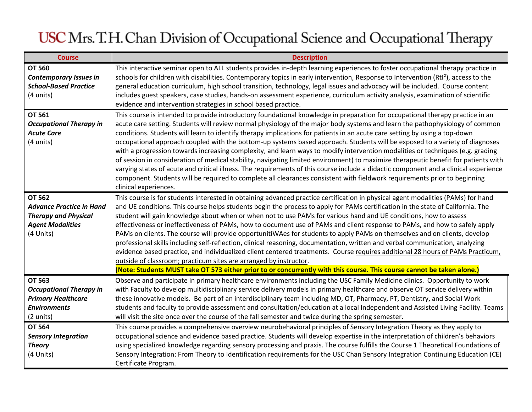| <b>Course</b>                                                                                                           | <b>Description</b>                                                                                                                                                                                                                                                                                                                                                                                                                                                                                                                                                                                                                                                                                                                                                                                                                                                                                                                                                                                                                                                                                                   |
|-------------------------------------------------------------------------------------------------------------------------|----------------------------------------------------------------------------------------------------------------------------------------------------------------------------------------------------------------------------------------------------------------------------------------------------------------------------------------------------------------------------------------------------------------------------------------------------------------------------------------------------------------------------------------------------------------------------------------------------------------------------------------------------------------------------------------------------------------------------------------------------------------------------------------------------------------------------------------------------------------------------------------------------------------------------------------------------------------------------------------------------------------------------------------------------------------------------------------------------------------------|
| <b>OT 560</b><br><b>Contemporary Issues in</b><br><b>School-Based Practice</b><br>(4 units)                             | This interactive seminar open to ALL students provides in-depth learning experiences to foster occupational therapy practice in<br>schools for children with disabilities. Contemporary topics in early intervention, Response to Intervention (Rtl <sup>2</sup> ), access to the<br>general education curriculum, high school transition, technology, legal issues and advocacy will be included. Course content<br>includes guest speakers, case studies, hands-on assessment experience, curriculum activity analysis, examination of scientific<br>evidence and intervention strategies in school based practice.                                                                                                                                                                                                                                                                                                                                                                                                                                                                                                |
| <b>OT 561</b><br><b>Occupational Therapy in</b><br><b>Acute Care</b><br>(4 units)                                       | This course is intended to provide introductory foundational knowledge in preparation for occupational therapy practice in an<br>acute care setting. Students will review normal physiology of the major body systems and learn the pathophysiology of common<br>conditions. Students will learn to identify therapy implications for patients in an acute care setting by using a top-down<br>occupational approach coupled with the bottom-up systems based approach. Students will be exposed to a variety of diagnoses<br>with a progression towards increasing complexity, and learn ways to modify intervention modalities or techniques (e.g. grading<br>of session in consideration of medical stability, navigating limited environment) to maximize therapeutic benefit for patients with<br>varying states of acute and critical illness. The requirements of this course include a didactic component and a clinical experience<br>component. Students will be required to complete all clearances consistent with fieldwork requirements prior to beginning<br>clinical experiences.                    |
| <b>OT 562</b><br><b>Advance Practice in Hand</b><br><b>Therapy and Physical</b><br><b>Agent Modalities</b><br>(4 Units) | This course is for students interested in obtaining advanced practice certification in physical agent modalities (PAMs) for hand<br>and UE conditions. This course helps students begin the process to apply for PAMs certification in the state of California. The<br>student will gain knowledge about when or when not to use PAMs for various hand and UE conditions, how to assess<br>effectiveness or ineffectiveness of PAMs, how to document use of PAMs and client response to PAMs, and how to safely apply<br>PAMs on clients. The course will provide opportunitiWAes for students to apply PAMs on themselves and on clients, develop<br>professional skills including self-reflection, clinical reasoning, documentation, written and verbal communication, analyzing<br>evidence based practice, and individualized client centered treatments. Course requires additional 28 hours of PAMs Practicum,<br>outside of classroom; practicum sites are arranged by instructor.<br>(Note: Students MUST take OT 573 either prior to or concurrently with this course. This course cannot be taken alone.) |
| <b>OT 563</b><br><b>Occupational Therapy in</b><br><b>Primary Healthcare</b><br><b>Environments</b><br>(2 units)        | Observe and participate in primary healthcare environments including the USC Family Medicine clinics. Opportunity to work<br>with Faculty to develop multidisciplinary service delivery models in primary healthcare and observe OT service delivery within<br>these innovative models. Be part of an interdisciplinary team including MD, OT, Pharmacy, PT, Dentistry, and Social Work<br>students and faculty to provide assessment and consultation/education at a local Independent and Assisted Living Facility. Teams<br>will visit the site once over the course of the fall semester and twice during the spring semester.                                                                                                                                                                                                                                                                                                                                                                                                                                                                                   |
| <b>OT 564</b><br><b>Sensory Integration</b><br><b>Theory</b><br>(4 Units)                                               | This course provides a comprehensive overview neurobehavioral principles of Sensory Integration Theory as they apply to<br>occupational science and evidence based practice. Students will develop expertise in the interpretation of children's behaviors<br>using specialized knowledge regarding sensory processing and praxis. The course fulfills the Course 1 Theoretical Foundations of<br>Sensory Integration: From Theory to Identification requirements for the USC Chan Sensory Integration Continuing Education (CE)<br>Certificate Program.                                                                                                                                                                                                                                                                                                                                                                                                                                                                                                                                                             |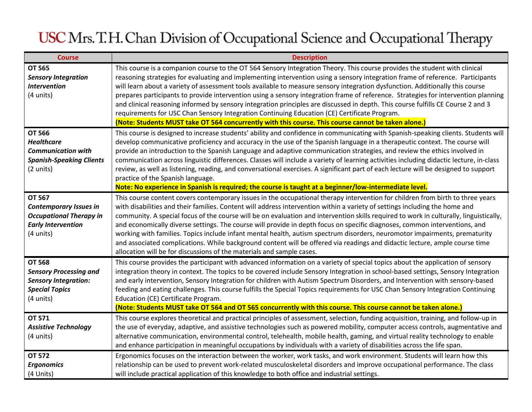| <b>Course</b>                                                                                                                        | <b>Description</b>                                                                                                                                                                                                                                                                                                                                                                                                                                                                                                                                                                                                                                                                                                                                                                                                                                                             |
|--------------------------------------------------------------------------------------------------------------------------------------|--------------------------------------------------------------------------------------------------------------------------------------------------------------------------------------------------------------------------------------------------------------------------------------------------------------------------------------------------------------------------------------------------------------------------------------------------------------------------------------------------------------------------------------------------------------------------------------------------------------------------------------------------------------------------------------------------------------------------------------------------------------------------------------------------------------------------------------------------------------------------------|
| <b>OT 565</b><br><b>Sensory Integration</b><br><b>Intervention</b><br>(4 units)                                                      | This course is a companion course to the OT 564 Sensory Integration Theory. This course provides the student with clinical<br>reasoning strategies for evaluating and implementing intervention using a sensory integration frame of reference. Participants<br>will learn about a variety of assessment tools available to measure sensory integration dysfunction. Additionally this course<br>prepares participants to provide intervention using a sensory integration frame of reference. Strategies for intervention planning<br>and clinical reasoning informed by sensory integration principles are discussed in depth. This course fulfills CE Course 2 and 3<br>requirements for USC Chan Sensory Integration Continuing Education (CE) Certificate Program.<br>(Note: Students MUST take OT 564 concurrently with this course. This course cannot be taken alone.) |
| <b>OT 566</b><br><b>Healthcare</b><br><b>Communication with</b><br><b>Spanish-Speaking Clients</b><br>(2 units)                      | This course is designed to increase students' ability and confidence in communicating with Spanish-speaking clients. Students will<br>develop communicative proficiency and accuracy in the use of the Spanish language in a therapeutic context. The course will<br>provide an introduction to the Spanish Language and adaptive communication strategies, and review the ethics involved in<br>communication across linguistic differences. Classes will include a variety of learning activities including didactic lecture, in-class<br>review, as well as listening, reading, and conversational exercises. A significant part of each lecture will be designed to support<br>practice of the Spanish language.<br>Note: No experience in Spanish is required; the course is taught at a beginner/low-intermediate level.                                                 |
| <b>OT 567</b><br><b>Contemporary Issues in</b><br><b>Occupational Therapy in</b><br><b>Early Intervention</b><br>$(4 \text{ units})$ | This course content covers contemporary issues in the occupational therapy intervention for children from birth to three years<br>with disabilities and their families. Content will address intervention within a variety of settings including the home and<br>community. A special focus of the course will be on evaluation and intervention skills required to work in culturally, linguistically,<br>and economically diverse settings. The course will provide in depth focus on specific diagnoses, common interventions, and<br>working with families. Topics include infant mental health, autism spectrum disorders, neuromotor impairments, prematurity<br>and associated complications. While background content will be offered via readings and didactic lecture, ample course time<br>allocation will be for discussions of the materials and sample cases.    |
| <b>OT 568</b><br><b>Sensory Processing and</b><br><b>Sensory Integration:</b><br><b>Special Topics</b><br>(4 units)                  | This course provides the participant with advanced information on a variety of special topics about the application of sensory<br>integration theory in context. The topics to be covered include Sensory Integration in school-based settings, Sensory Integration<br>and early intervention, Sensory Integration for children with Autism Spectrum Disorders, and Intervention with sensory-based<br>feeding and eating challenges. This course fulfills the Special Topics requirements for USC Chan Sensory Integration Continuing<br>Education (CE) Certificate Program.<br>(Note: Students MUST take OT 564 and OT 565 concurrently with this course. This course cannot be taken alone.)                                                                                                                                                                                |
| OT 571<br><b>Assistive Technology</b><br>(4 units)                                                                                   | This course explores theoretical and practical principles of assessment, selection, funding acquisition, training, and follow-up in<br>the use of everyday, adaptive, and assistive technologies such as powered mobility, computer access controls, augmentative and<br>alternative communication, environmental control, telehealth, mobile health, gaming, and virtual reality technology to enable<br>and enhance participation in meaningful occupations by individuals with a variety of disabilities across the life span.                                                                                                                                                                                                                                                                                                                                              |
| <b>OT 572</b><br><b>Ergonomics</b><br>(4 Units)                                                                                      | Ergonomics focuses on the interaction between the worker, work tasks, and work environment. Students will learn how this<br>relationship can be used to prevent work-related musculoskeletal disorders and improve occupational performance. The class<br>will include practical application of this knowledge to both office and industrial settings.                                                                                                                                                                                                                                                                                                                                                                                                                                                                                                                         |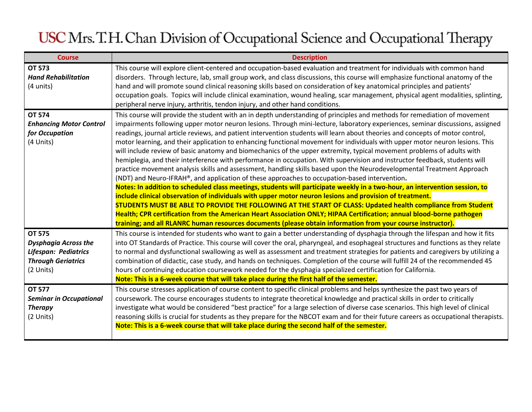| <b>Course</b>                                                                                                  | <b>Description</b>                                                                                                                                                                                                                                                                                                                                                                                                                                                                                                                                                                                                                                                                                                                                                                                                                                                                                                                                                                                                                                                                                                                                                                                                                                                                                                                                                                                                                                                                                                                                                                                              |
|----------------------------------------------------------------------------------------------------------------|-----------------------------------------------------------------------------------------------------------------------------------------------------------------------------------------------------------------------------------------------------------------------------------------------------------------------------------------------------------------------------------------------------------------------------------------------------------------------------------------------------------------------------------------------------------------------------------------------------------------------------------------------------------------------------------------------------------------------------------------------------------------------------------------------------------------------------------------------------------------------------------------------------------------------------------------------------------------------------------------------------------------------------------------------------------------------------------------------------------------------------------------------------------------------------------------------------------------------------------------------------------------------------------------------------------------------------------------------------------------------------------------------------------------------------------------------------------------------------------------------------------------------------------------------------------------------------------------------------------------|
| <b>OT 573</b><br><b>Hand Rehabilitation</b><br>(4 units)                                                       | This course will explore client-centered and occupation-based evaluation and treatment for individuals with common hand<br>disorders. Through lecture, lab, small group work, and class discussions, this course will emphasize functional anatomy of the<br>hand and will promote sound clinical reasoning skills based on consideration of key anatomical principles and patients'<br>occupation goals. Topics will include clinical examination, wound healing, scar management, physical agent modalities, splinting,                                                                                                                                                                                                                                                                                                                                                                                                                                                                                                                                                                                                                                                                                                                                                                                                                                                                                                                                                                                                                                                                                       |
|                                                                                                                | peripheral nerve injury, arthritis, tendon injury, and other hand conditions.                                                                                                                                                                                                                                                                                                                                                                                                                                                                                                                                                                                                                                                                                                                                                                                                                                                                                                                                                                                                                                                                                                                                                                                                                                                                                                                                                                                                                                                                                                                                   |
| <b>OT 574</b><br><b>Enhancing Motor Control</b><br>for Occupation<br>(4 Units)                                 | This course will provide the student with an in depth understanding of principles and methods for remediation of movement<br>impairments following upper motor neuron lesions. Through mini-lecture, laboratory experiences, seminar discussions, assigned<br>readings, journal article reviews, and patient intervention students will learn about theories and concepts of motor control,<br>motor learning, and their application to enhancing functional movement for individuals with upper motor neuron lesions. This<br>will include review of basic anatomy and biomechanics of the upper extremity, typical movement problems of adults with<br>hemiplegia, and their interference with performance in occupation. With supervision and instructor feedback, students will<br>practice movement analysis skills and assessment, handling skills based upon the Neurodevelopmental Treatment Approach<br>(NDT) and Neuro-IFRAH®, and application of these approaches to occupation-based intervention.<br>Notes: In addition to scheduled class meetings, students will participate weekly in a two-hour, an intervention session, to<br>include clinical observation of individuals with upper motor neuron lesions and provision of treatment.<br>STUDENTS MUST BE ABLE TO PROVIDE THE FOLLOWING AT THE START OF CLASS: Updated health compliance from Student<br>Health; CPR certification from the American Heart Association ONLY; HIPAA Certification; annual blood-borne pathogen<br>training; and all RLANRC human resources documents (please obtain information from your course instructor). |
| <b>OT 575</b><br><b>Dysphagia Across the</b><br>Lifespan: Pediatrics<br><b>Through Geriatrics</b><br>(2 Units) | This course is intended for students who want to gain a better understanding of dysphagia through the lifespan and how it fits<br>into OT Standards of Practice. This course will cover the oral, pharyngeal, and esophageal structures and functions as they relate<br>to normal and dysfunctional swallowing as well as assessment and treatment strategies for patients and caregivers by utilizing a<br>combination of didactic, case study, and hands on techniques. Completion of the course will fulfill 24 of the recommended 45<br>hours of continuing education coursework needed for the dysphagia specialized certification for California.<br>Note: This is a 6-week course that will take place during the first half of the semester.                                                                                                                                                                                                                                                                                                                                                                                                                                                                                                                                                                                                                                                                                                                                                                                                                                                            |
| <b>OT 577</b><br><b>Seminar in Occupational</b><br><b>Therapy</b><br>(2 Units)                                 | This course stresses application of course content to specific clinical problems and helps synthesize the past two years of<br>coursework. The course encourages students to integrate theoretical knowledge and practical skills in order to critically<br>investigate what would be considered "best practice" for a large selection of diverse case scenarios. This high level of clinical<br>reasoning skills is crucial for students as they prepare for the NBCOT exam and for their future careers as occupational therapists.<br>Note: This is a 6-week course that will take place during the second half of the semester.                                                                                                                                                                                                                                                                                                                                                                                                                                                                                                                                                                                                                                                                                                                                                                                                                                                                                                                                                                             |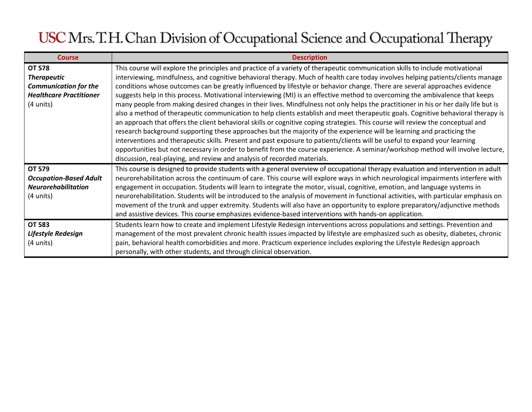| <b>Course</b>                                                                                                      | <b>Description</b>                                                                                                                                                                                                                                                                                                                                                                                                                                                                                                                                                                                                                                                                                                                                                                                                                                                                                                                                                                                                                                                                                                                                                                                                                                                                                                                                                                                                   |
|--------------------------------------------------------------------------------------------------------------------|----------------------------------------------------------------------------------------------------------------------------------------------------------------------------------------------------------------------------------------------------------------------------------------------------------------------------------------------------------------------------------------------------------------------------------------------------------------------------------------------------------------------------------------------------------------------------------------------------------------------------------------------------------------------------------------------------------------------------------------------------------------------------------------------------------------------------------------------------------------------------------------------------------------------------------------------------------------------------------------------------------------------------------------------------------------------------------------------------------------------------------------------------------------------------------------------------------------------------------------------------------------------------------------------------------------------------------------------------------------------------------------------------------------------|
| <b>OT 578</b><br><b>Therapeutic</b><br><b>Communication for the</b><br><b>Healthcare Practitioner</b><br>(4 units) | This course will explore the principles and practice of a variety of therapeutic communication skills to include motivational<br>interviewing, mindfulness, and cognitive behavioral therapy. Much of health care today involves helping patients/clients manage<br>conditions whose outcomes can be greatly influenced by lifestyle or behavior change. There are several approaches evidence<br>suggests help in this process. Motivational interviewing (MI) is an effective method to overcoming the ambivalence that keeps<br>many people from making desired changes in their lives. Mindfulness not only helps the practitioner in his or her daily life but is<br>also a method of therapeutic communication to help clients establish and meet therapeutic goals. Cognitive behavioral therapy is<br>an approach that offers the client behavioral skills or cognitive coping strategies. This course will review the conceptual and<br>research background supporting these approaches but the majority of the experience will be learning and practicing the<br>interventions and therapeutic skills. Present and past exposure to patients/clients will be useful to expand your learning<br>opportunities but not necessary in order to benefit from the course experience. A seminar/workshop method will involve lecture,<br>discussion, real-playing, and review and analysis of recorded materials. |
| OT 579<br><b>Occupation-Based Adult</b><br><b>Neurorehabilitation</b><br>(4 units)                                 | This course is designed to provide students with a general overview of occupational therapy evaluation and intervention in adult<br>neurorehabilitation across the continuum of care. This course will explore ways in which neurological impairments interfere with<br>engagement in occupation. Students will learn to integrate the motor, visual, cognitive, emotion, and language systems in<br>neurorehabilitation. Students will be introduced to the analysis of movement in functional activities, with particular emphasis on<br>movement of the trunk and upper extremity. Students will also have an opportunity to explore preparatory/adjunctive methods<br>and assistive devices. This course emphasizes evidence-based interventions with hands-on application.                                                                                                                                                                                                                                                                                                                                                                                                                                                                                                                                                                                                                                      |
| <b>OT 583</b><br>Lifestyle Redesign<br>(4 units)                                                                   | Students learn how to create and implement Lifestyle Redesign interventions across populations and settings. Prevention and<br>management of the most prevalent chronic health issues impacted by lifestyle are emphasized such as obesity, diabetes, chronic<br>pain, behavioral health comorbidities and more. Practicum experience includes exploring the Lifestyle Redesign approach<br>personally, with other students, and through clinical observation.                                                                                                                                                                                                                                                                                                                                                                                                                                                                                                                                                                                                                                                                                                                                                                                                                                                                                                                                                       |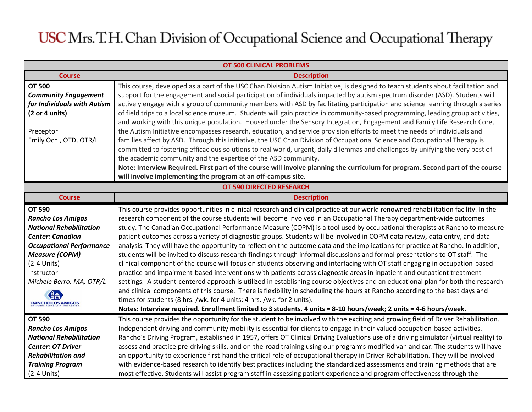| <b>OT 500 CLINICAL PROBLEMS</b>                              |                                                                                                                                                                                                                                                                   |  |
|--------------------------------------------------------------|-------------------------------------------------------------------------------------------------------------------------------------------------------------------------------------------------------------------------------------------------------------------|--|
| <b>Course</b>                                                | <b>Description</b>                                                                                                                                                                                                                                                |  |
| <b>OT 500</b><br><b>Community Engagement</b>                 | This course, developed as a part of the USC Chan Division Autism Initiative, is designed to teach students about facilitation and<br>support for the engagement and social participation of individuals impacted by autism spectrum disorder (ASD). Students will |  |
| for Individuals with Autism                                  | actively engage with a group of community members with ASD by facilitating participation and science learning through a series                                                                                                                                    |  |
| (2 or 4 units)                                               | of field trips to a local science museum. Students will gain practice in community-based programming, leading group activities,                                                                                                                                   |  |
|                                                              | and working with this unique population. Housed under the Sensory Integration, Engagement and Family Life Research Core,                                                                                                                                          |  |
| Preceptor                                                    | the Autism Initiative encompasses research, education, and service provision efforts to meet the needs of individuals and                                                                                                                                         |  |
| Emily Ochi, OTD, OTR/L                                       | families affect by ASD. Through this initiative, the USC Chan Division of Occupational Science and Occupational Therapy is                                                                                                                                        |  |
|                                                              | committed to fostering efficacious solutions to real world, urgent, daily dilemmas and challenges by unifying the very best of                                                                                                                                    |  |
|                                                              | the academic community and the expertise of the ASD community.                                                                                                                                                                                                    |  |
|                                                              | Note: Interview Required. First part of the course will involve planning the curriculum for program. Second part of the course                                                                                                                                    |  |
| will involve implementing the program at an off-campus site. |                                                                                                                                                                                                                                                                   |  |
|                                                              | OT 590 DIRECTED RESEARCH                                                                                                                                                                                                                                          |  |
| <b>Course</b>                                                | <b>Description</b>                                                                                                                                                                                                                                                |  |
| <b>OT 590</b>                                                | This course provides opportunities in clinical research and clinical practice at our world renowned rehabilitation facility. In the                                                                                                                               |  |
| <b>Rancho Los Amigos</b>                                     | research component of the course students will become involved in an Occupational Therapy department-wide outcomes                                                                                                                                                |  |
| <b>National Rehabilitation</b>                               | study. The Canadian Occupational Performance Measure (COPM) is a tool used by occupational therapists at Rancho to measure                                                                                                                                        |  |
| <b>Center: Canadian</b>                                      | patient outcomes across a variety of diagnostic groups. Students will be involved in COPM data review, data entry, and data                                                                                                                                       |  |
| <b>Occupational Performance</b>                              | analysis. They will have the opportunity to reflect on the outcome data and the implications for practice at Rancho. In addition,                                                                                                                                 |  |
| <b>Measure (COPM)</b>                                        | students will be invited to discuss research findings through informal discussions and formal presentations to OT staff. The                                                                                                                                      |  |
| $(2-4$ Units)                                                | clinical component of the course will focus on students observing and interfacing with OT staff engaging in occupation-based                                                                                                                                      |  |
| Instructor                                                   | practice and impairment-based interventions with patients across diagnostic areas in inpatient and outpatient treatment                                                                                                                                           |  |
| Michele Berro, MA, OTR/L                                     | settings. A student-centered approach is utilized in establishing course objectives and an educational plan for both the research                                                                                                                                 |  |
| <b>RANCHO LOS AMIGOS</b>                                     | and clinical components of this course. There is flexibility in scheduling the hours at Rancho according to the best days and                                                                                                                                     |  |
|                                                              | times for students (8 hrs. /wk. for 4 units; 4 hrs. /wk. for 2 units).                                                                                                                                                                                            |  |
|                                                              | Notes: Interview required. Enrollment limited to 3 students. 4 units = 8-10 hours/week; 2 units = 4-6 hours/week.                                                                                                                                                 |  |
| <b>OT 590</b>                                                | This course provides the opportunity for the student to be involved with the exciting and growing field of Driver Rehabilitation.                                                                                                                                 |  |
| <b>Rancho Los Amigos</b>                                     | Independent driving and community mobility is essential for clients to engage in their valued occupation-based activities.                                                                                                                                        |  |
| <b>National Rehabilitation</b>                               | Rancho's Driving Program, established in 1957, offers OT Clinical Driving Evaluations use of a driving simulator (virtual reality) to                                                                                                                             |  |
| <b>Center: OT Driver</b>                                     | assess and practice pre-driving skills, and on-the-road training using our program's modified van and car. The students will have                                                                                                                                 |  |
| <b>Rehabilitation and</b>                                    | an opportunity to experience first-hand the critical role of occupational therapy in Driver Rehabilitation. They will be involved                                                                                                                                 |  |
| <b>Training Program</b>                                      | with evidence-based research to identify best practices including the standardized assessments and training methods that are                                                                                                                                      |  |
| $(2-4$ Units)                                                | most effective. Students will assist program staff in assessing patient experience and program effectiveness through the                                                                                                                                          |  |